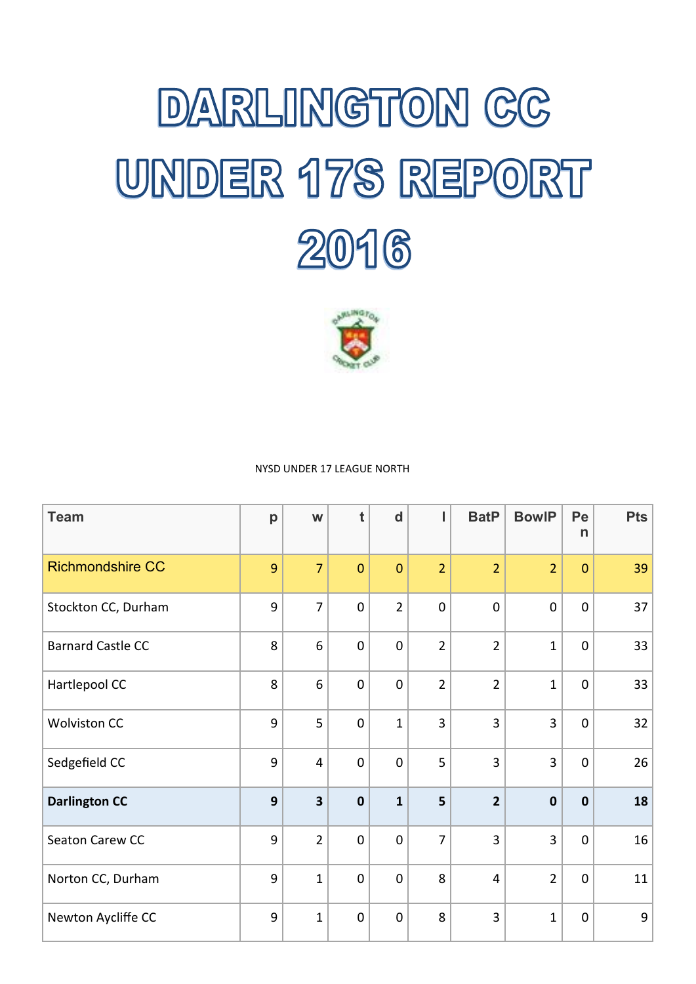## **DARLINGTON CC** UNDER 178 REPORT 2016



## NYSD UNDER 17 LEAGUE NORTH

| <b>Team</b>              | p | W                       | t              | $\mathbf d$    |                | <b>BatP</b>    | <b>BowlP</b>   | Pe<br>n      | <b>Pts</b> |
|--------------------------|---|-------------------------|----------------|----------------|----------------|----------------|----------------|--------------|------------|
| <b>Richmondshire CC</b>  | 9 | $\overline{7}$          | $\overline{0}$ | $\overline{0}$ | $\overline{2}$ | $\overline{2}$ | $\overline{2}$ | $\mathbf{0}$ | 39         |
| Stockton CC, Durham      | 9 | $\overline{7}$          | $\mathbf 0$    | $\overline{2}$ | $\mathbf 0$    | $\mathbf 0$    | $\mathbf 0$    | $\mathbf 0$  | 37         |
| <b>Barnard Castle CC</b> | 8 | 6                       | $\mathbf 0$    | $\mathbf 0$    | $\overline{2}$ | $\overline{2}$ | $\overline{1}$ | $\pmb{0}$    | 33         |
| Hartlepool CC            | 8 | 6                       | $\mathbf 0$    | $\overline{0}$ | $\overline{2}$ | $\overline{2}$ | $\mathbf{1}$   | $\mathbf 0$  | 33         |
| <b>Wolviston CC</b>      | 9 | 5                       | $\mathbf 0$    | $\mathbf{1}$   | 3              | 3              | 3              | $\mathbf 0$  | 32         |
| Sedgefield CC            | 9 | $\overline{4}$          | $\mathbf 0$    | $\mathbf 0$    | 5              | $\overline{3}$ | 3              | $\mathbf 0$  | 26         |
| <b>Darlington CC</b>     | 9 | $\overline{\mathbf{3}}$ | $\mathbf 0$    | $\mathbf{1}$   | 5              | $\overline{2}$ | $\mathbf 0$    | $\mathbf 0$  | 18         |
| Seaton Carew CC          | 9 | $\overline{2}$          | $\mathbf 0$    | $\mathbf 0$    | $\overline{7}$ | 3              | 3              | $\pmb{0}$    | 16         |
| Norton CC, Durham        | 9 | $\mathbf{1}$            | $\mathbf 0$    | $\mathbf 0$    | 8              | $\overline{4}$ | $\overline{2}$ | $\mathbf 0$  | 11         |
| Newton Aycliffe CC       | 9 | $\mathbf{1}$            | $\mathbf 0$    | $\mathbf 0$    | 8              | $\overline{3}$ | $\mathbf{1}$   | $\mathbf 0$  | 9          |